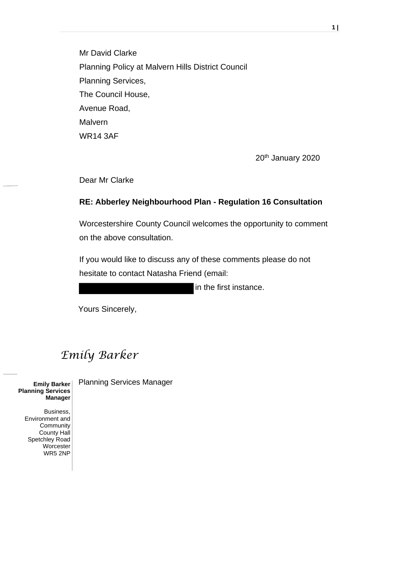Mr David Clarke Planning Policy at Malvern Hills District Council Planning Services, The Council House, Avenue Road, **Malvern** WR14 3AF

20<sup>th</sup> January 2020

Dear Mr Clarke

#### **RE: Abberley Neighbourhood Plan - Regulation 16 Consultation**

Worcestershire County Council welcomes the opportunity to comment on the above consultation.

If you would like to discuss any of these comments please do not hesitate to contact Natasha Friend (email:

in the first instance.

Yours Sincerely,

## *Emily Barker*

**Planning Services Manager**

> Business, Environment and Community County Hall Spetchley Road **Worcester** WR5 2NP

**Emily Barker** Planning Services Manager